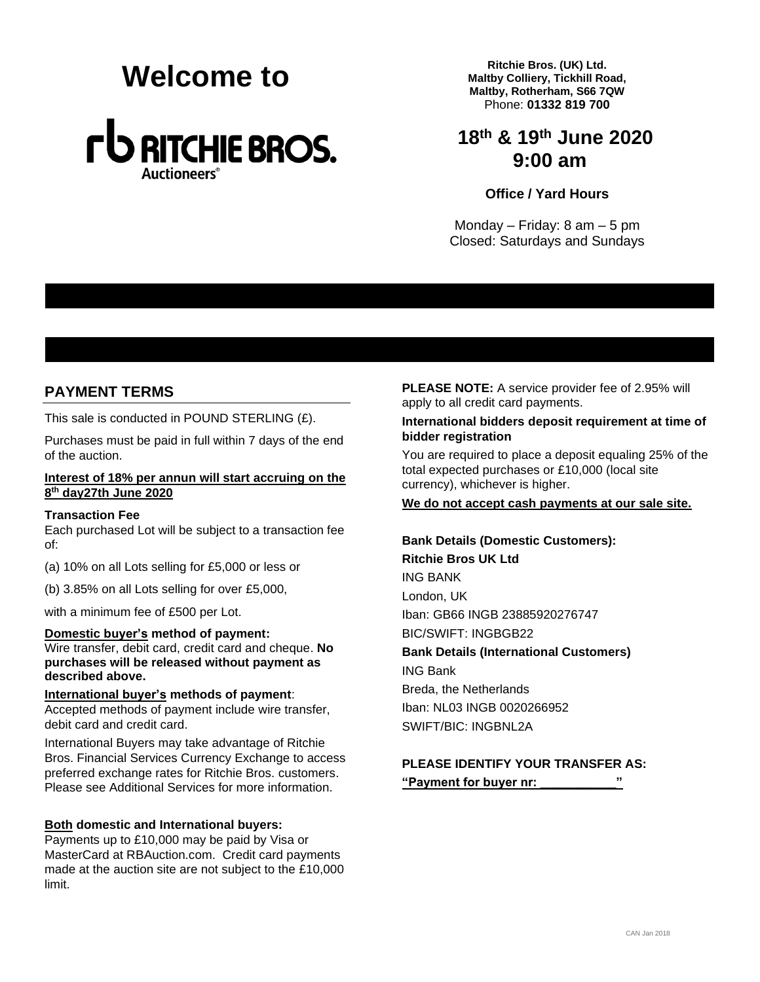# **Melcome to** *Ritchie Bros. (UK) Ltd.*<br>Maltby Colliery, Tickhill Re



**Maltby Colliery, Tickhill Road, Maltby, Rotherham, S66 7QW** Phone: **01332 819 700**

# **18th & 19th June 2020 9:00 am**

#### **Office / Yard Hours**

Monday – Friday: 8 am – 5 pm Closed: Saturdays and Sundays

# **PAYMENT TERMS**

This sale is conducted in POUND STERLING (£).

Purchases must be paid in full within 7 days of the end of the auction.

#### **Interest of 18% per annun will start accruing on the 8 th day27th June 2020**

#### **Transaction Fee**

Each purchased Lot will be subject to a transaction fee of:

- (a) 10% on all Lots selling for £5,000 or less or
- (b) 3.85% on all Lots selling for over £5,000,

with a minimum fee of £500 per Lot.

**Domestic buyer's method of payment:**  Wire transfer, debit card, credit card and cheque. **No purchases will be released without payment as described above.**

#### **International buyer's methods of payment**:

Accepted methods of payment include wire transfer, debit card and credit card.

International Buyers may take advantage of Ritchie Bros. Financial Services Currency Exchange to access preferred exchange rates for Ritchie Bros. customers. Please see Additional Services for more information.

#### **Both domestic and International buyers:**

Payments up to £10,000 may be paid by Visa or MasterCard at RBAuction.com. Credit card payments made at the auction site are not subject to the £10,000 limit.

**PLEASE NOTE:** A service provider fee of 2.95% will apply to all credit card payments.

#### **International bidders deposit requirement at time of bidder registration**

You are required to place a deposit equaling 25% of the total expected purchases or £10,000 (local site currency), whichever is higher.

**We do not accept cash payments at our sale site.**

**Bank Details (Domestic Customers): Ritchie Bros UK Ltd** ING BANK London, UK Iban: GB66 INGB 23885920276747 BIC/SWIFT: INGBGB22 **Bank Details (International Customers)** ING Bank Breda, the Netherlands Iban: NL03 INGB 0020266952 SWIFT/BIC: INGBNL2A

#### **PLEASE IDENTIFY YOUR TRANSFER AS: "Payment for buyer nr: \_\_\_\_\_\_\_\_\_\_\_"**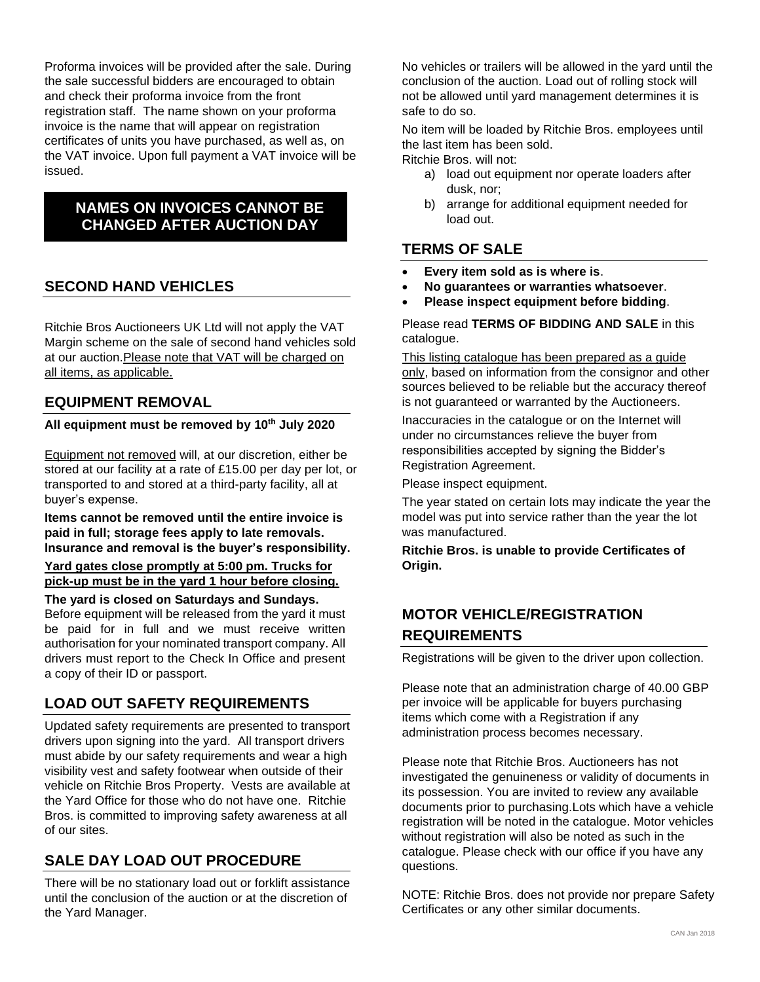Proforma invoices will be provided after the sale. During the sale successful bidders are encouraged to obtain and check their proforma invoice from the front registration staff. The name shown on your proforma invoice is the name that will appear on registration certificates of units you have purchased, as well as, on the VAT invoice. Upon full payment a VAT invoice will be issued.

# **NAMES ON INVOICES CANNOT BE CHANGED AFTER AUCTION DAY**

# **SECOND HAND VEHICLES**

Ritchie Bros Auctioneers UK Ltd will not apply the VAT Margin scheme on the sale of second hand vehicles sold at our auction.Please note that VAT will be charged on all items, as applicable.

### **EQUIPMENT REMOVAL**

#### **All equipment must be removed by 10th July 2020**

Equipment not removed will, at our discretion, either be stored at our facility at a rate of £15.00 per day per lot, or transported to and stored at a third-party facility, all at buyer's expense.

**Items cannot be removed until the entire invoice is paid in full; storage fees apply to late removals. Insurance and removal is the buyer's responsibility.**

#### **Yard gates close promptly at 5:00 pm. Trucks for pick-up must be in the yard 1 hour before closing.**

**The yard is closed on Saturdays and Sundays.** Before equipment will be released from the yard it must be paid for in full and we must receive written authorisation for your nominated transport company. All drivers must report to the Check In Office and present a copy of their ID or passport.

# **LOAD OUT SAFETY REQUIREMENTS**

Updated safety requirements are presented to transport drivers upon signing into the yard. All transport drivers must abide by our safety requirements and wear a high visibility vest and safety footwear when outside of their vehicle on Ritchie Bros Property. Vests are available at the Yard Office for those who do not have one. Ritchie Bros. is committed to improving safety awareness at all of our sites.

# **SALE DAY LOAD OUT PROCEDURE**

There will be no stationary load out or forklift assistance until the conclusion of the auction or at the discretion of the Yard Manager.

No vehicles or trailers will be allowed in the yard until the conclusion of the auction. Load out of rolling stock will not be allowed until yard management determines it is safe to do so.

No item will be loaded by Ritchie Bros. employees until the last item has been sold.

- Ritchie Bros. will not:
	- a) load out equipment nor operate loaders after dusk, nor;
	- b) arrange for additional equipment needed for load out.

# **TERMS OF SALE**

- **Every item sold as is where is**.
- **No guarantees or warranties whatsoever**.
- **Please inspect equipment before bidding**.

#### Please read **TERMS OF BIDDING AND SALE** in this catalogue.

This listing catalogue has been prepared as a guide only, based on information from the consignor and other sources believed to be reliable but the accuracy thereof is not guaranteed or warranted by the Auctioneers.

Inaccuracies in the catalogue or on the Internet will under no circumstances relieve the buyer from responsibilities accepted by signing the Bidder's Registration Agreement.

Please inspect equipment.

The year stated on certain lots may indicate the year the model was put into service rather than the year the lot was manufactured.

**Ritchie Bros. is unable to provide Certificates of Origin.**

# **MOTOR VEHICLE/REGISTRATION REQUIREMENTS**

Registrations will be given to the driver upon collection.

Please note that an administration charge of 40.00 GBP per invoice will be applicable for buyers purchasing items which come with a Registration if any administration process becomes necessary.

Please note that Ritchie Bros. Auctioneers has not investigated the genuineness or validity of documents in its possession. You are invited to review any available documents prior to purchasing.Lots which have a vehicle registration will be noted in the catalogue. Motor vehicles without registration will also be noted as such in the catalogue. Please check with our office if you have any questions.

NOTE: Ritchie Bros. does not provide nor prepare Safety Certificates or any other similar documents.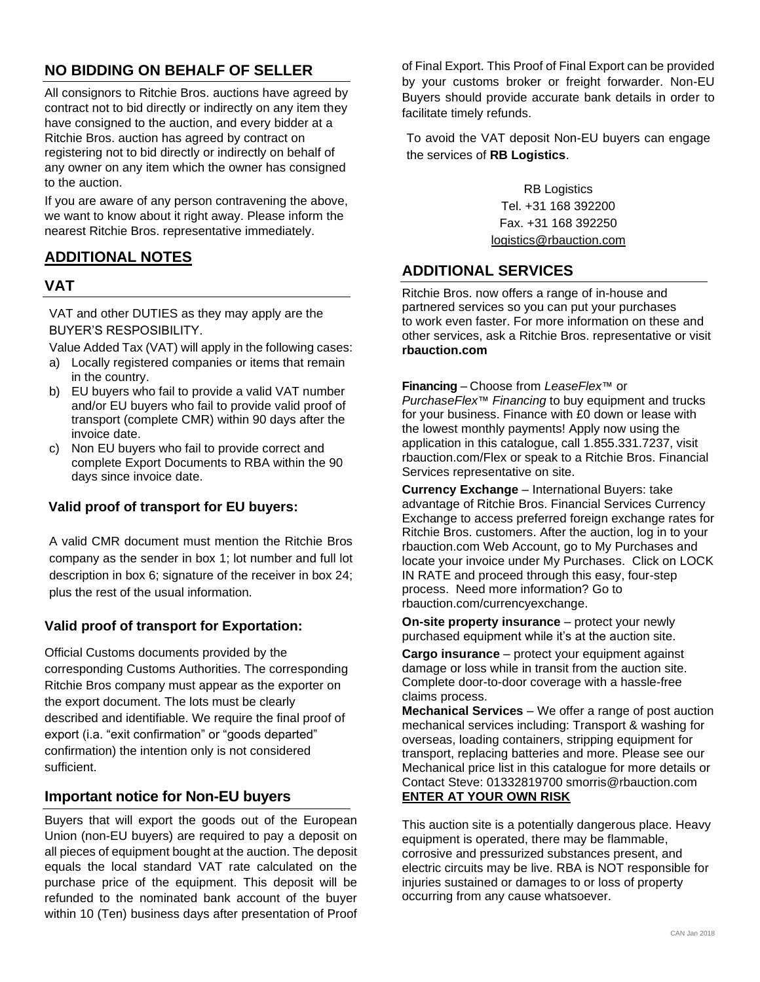# **NO BIDDING ON BEHALF OF SELLER**

All consignors to Ritchie Bros. auctions have agreed by contract not to bid directly or indirectly on any item they have consigned to the auction, and every bidder at a Ritchie Bros. auction has agreed by contract on registering not to bid directly or indirectly on behalf of any owner on any item which the owner has consigned to the auction.

If you are aware of any person contravening the above, we want to know about it right away. Please inform the nearest Ritchie Bros. representative immediately.

# **ADDITIONAL NOTES**

### **VAT**

VAT and other DUTIES as they may apply are the BUYER'S RESPOSIBILITY.

Value Added Tax (VAT) will apply in the following cases:

- a) Locally registered companies or items that remain in the country.
- b) EU buyers who fail to provide a valid VAT number and/or EU buyers who fail to provide valid proof of transport (complete CMR) within 90 days after the invoice date.
- c) Non EU buyers who fail to provide correct and complete Export Documents to RBA within the 90 days since invoice date.

#### **Valid proof of transport for EU buyers:**

A valid CMR document must mention the Ritchie Bros company as the sender in box 1; lot number and full lot description in box 6; signature of the receiver in box 24; plus the rest of the usual information.

#### **Valid proof of transport for Exportation:**

Official Customs documents provided by the corresponding Customs Authorities. The corresponding Ritchie Bros company must appear as the exporter on the export document. The lots must be clearly described and identifiable. We require the final proof of export (i.a. "exit confirmation" or "goods departed" confirmation) the intention only is not considered sufficient.

# **Important notice for Non-EU buyers**

Buyers that will export the goods out of the European Union (non-EU buyers) are required to pay a deposit on all pieces of equipment bought at the auction. The deposit equals the local standard VAT rate calculated on the purchase price of the equipment. This deposit will be refunded to the nominated bank account of the buyer within 10 (Ten) business days after presentation of Proof of Final Export. This Proof of Final Export can be provided by your customs broker or freight forwarder. Non-EU Buyers should provide accurate bank details in order to facilitate timely refunds.

To avoid the VAT deposit Non-EU buyers can engage the services of **RB Logistics**.

> RB Logistics Tel. +31 168 392200 Fax. +31 168 392250 [logistics@rbauction.com](mailto:logistics@rbauction.com)

### **ADDITIONAL SERVICES**

Ritchie Bros. now offers a range of in-house and partnered services so you can put your purchases to work even faster. For more information on these and other services, ask a Ritchie Bros. representative or visit **rbauction.com**

**Financing** – Choose from *LeaseFlex*™ or *PurchaseFlex*™ *Financing* to buy equipment and trucks for your business. Finance with £0 down or lease with the lowest monthly payments! Apply now using the application in this catalogue, call 1.855.331.7237, visit rbauction.com/Flex or speak to a Ritchie Bros. Financial Services representative on site.

**Currency Exchange** – International Buyers: take advantage of Ritchie Bros. Financial Services Currency Exchange to access preferred foreign exchange rates for Ritchie Bros. customers. After the auction, log in to your rbauction.com Web Account, go to My Purchases and locate your invoice under My Purchases. Click on LOCK IN RATE and proceed through this easy, four-step process. Need more information? Go to rbauction.com/currencyexchange.

**On-site property insurance** – protect your newly purchased equipment while it's at the auction site.

**Cargo insurance** – protect your equipment against damage or loss while in transit from the auction site. Complete door-to-door coverage with a hassle-free claims process.

**Mechanical Services** – We offer a range of post auction mechanical services including: Transport & washing for overseas, loading containers, stripping equipment for transport, replacing batteries and more. Please see our Mechanical price list in this catalogue for more details or Contact Steve: 01332819700 smorris@rbauction.com **ENTER AT YOUR OWN RISK**

This auction site is a potentially dangerous place. Heavy equipment is operated, there may be flammable, corrosive and pressurized substances present, and electric circuits may be live. RBA is NOT responsible for injuries sustained or damages to or loss of property occurring from any cause whatsoever.